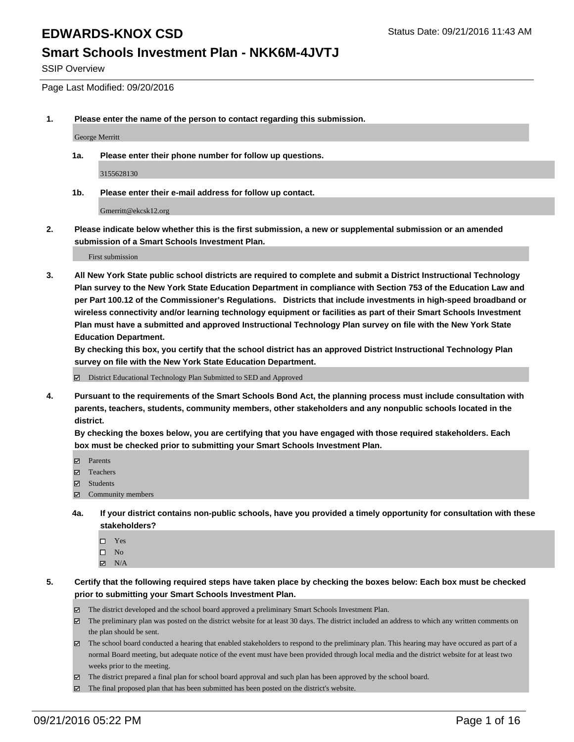#### **Smart Schools Investment Plan - NKK6M-4JVTJ**

SSIP Overview

Page Last Modified: 09/20/2016

**1. Please enter the name of the person to contact regarding this submission.**

George Merritt

**1a. Please enter their phone number for follow up questions.**

3155628130

**1b. Please enter their e-mail address for follow up contact.**

Gmerritt@ekcsk12.org

**2. Please indicate below whether this is the first submission, a new or supplemental submission or an amended submission of a Smart Schools Investment Plan.**

First submission

**3. All New York State public school districts are required to complete and submit a District Instructional Technology Plan survey to the New York State Education Department in compliance with Section 753 of the Education Law and per Part 100.12 of the Commissioner's Regulations. Districts that include investments in high-speed broadband or wireless connectivity and/or learning technology equipment or facilities as part of their Smart Schools Investment Plan must have a submitted and approved Instructional Technology Plan survey on file with the New York State Education Department.** 

**By checking this box, you certify that the school district has an approved District Instructional Technology Plan survey on file with the New York State Education Department.**

District Educational Technology Plan Submitted to SED and Approved

**4. Pursuant to the requirements of the Smart Schools Bond Act, the planning process must include consultation with parents, teachers, students, community members, other stakeholders and any nonpublic schools located in the district.** 

**By checking the boxes below, you are certifying that you have engaged with those required stakeholders. Each box must be checked prior to submitting your Smart Schools Investment Plan.**

- Parents
- □ Teachers
- $\boxtimes$  Students
- Community members
- **4a. If your district contains non-public schools, have you provided a timely opportunity for consultation with these stakeholders?**
	- $\Box$  Yes  $\square$  No
	- $\boxtimes$  N/A
- **5. Certify that the following required steps have taken place by checking the boxes below: Each box must be checked prior to submitting your Smart Schools Investment Plan.**
	- The district developed and the school board approved a preliminary Smart Schools Investment Plan.
	- The preliminary plan was posted on the district website for at least 30 days. The district included an address to which any written comments on the plan should be sent.
	- $\boxtimes$  The school board conducted a hearing that enabled stakeholders to respond to the preliminary plan. This hearing may have occured as part of a normal Board meeting, but adequate notice of the event must have been provided through local media and the district website for at least two weeks prior to the meeting.
	- The district prepared a final plan for school board approval and such plan has been approved by the school board.
	- The final proposed plan that has been submitted has been posted on the district's website.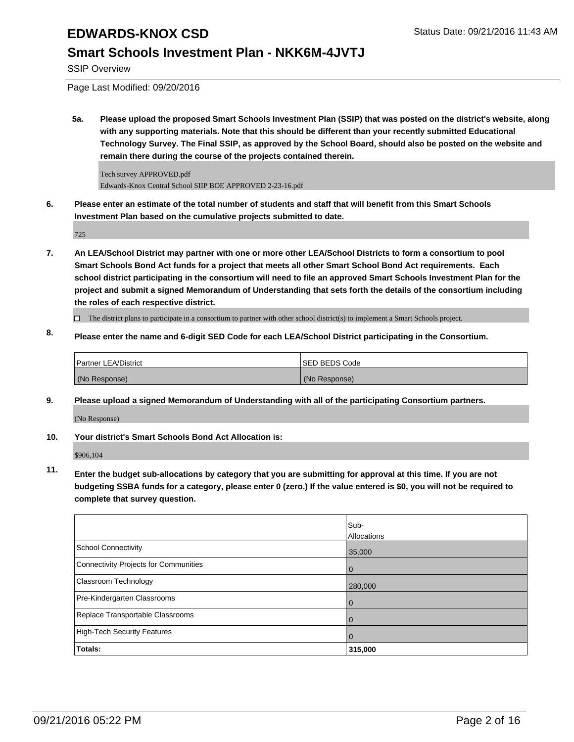#### **Smart Schools Investment Plan - NKK6M-4JVTJ**

SSIP Overview

Page Last Modified: 09/20/2016

**5a. Please upload the proposed Smart Schools Investment Plan (SSIP) that was posted on the district's website, along with any supporting materials. Note that this should be different than your recently submitted Educational Technology Survey. The Final SSIP, as approved by the School Board, should also be posted on the website and remain there during the course of the projects contained therein.**

Tech survey APPROVED.pdf Edwards-Knox Central School SIIP BOE APPROVED 2-23-16.pdf

**6. Please enter an estimate of the total number of students and staff that will benefit from this Smart Schools Investment Plan based on the cumulative projects submitted to date.**

725

**7. An LEA/School District may partner with one or more other LEA/School Districts to form a consortium to pool Smart Schools Bond Act funds for a project that meets all other Smart School Bond Act requirements. Each school district participating in the consortium will need to file an approved Smart Schools Investment Plan for the project and submit a signed Memorandum of Understanding that sets forth the details of the consortium including the roles of each respective district.**

 $\Box$  The district plans to participate in a consortium to partner with other school district(s) to implement a Smart Schools project.

**8. Please enter the name and 6-digit SED Code for each LEA/School District participating in the Consortium.**

| <b>Partner LEA/District</b> | <b>ISED BEDS Code</b> |
|-----------------------------|-----------------------|
| (No Response)               | (No Response)         |

**9. Please upload a signed Memorandum of Understanding with all of the participating Consortium partners.** (No Response)

**10. Your district's Smart Schools Bond Act Allocation is:**

\$906,104

**11. Enter the budget sub-allocations by category that you are submitting for approval at this time. If you are not budgeting SSBA funds for a category, please enter 0 (zero.) If the value entered is \$0, you will not be required to complete that survey question.**

|                                       | Sub-<br>Allocations |
|---------------------------------------|---------------------|
| School Connectivity                   | 35,000              |
| Connectivity Projects for Communities | 0                   |
| <b>Classroom Technology</b>           | 280,000             |
| Pre-Kindergarten Classrooms           | 0                   |
| Replace Transportable Classrooms      |                     |
| High-Tech Security Features           | 0                   |
| Totals:                               | 315,000             |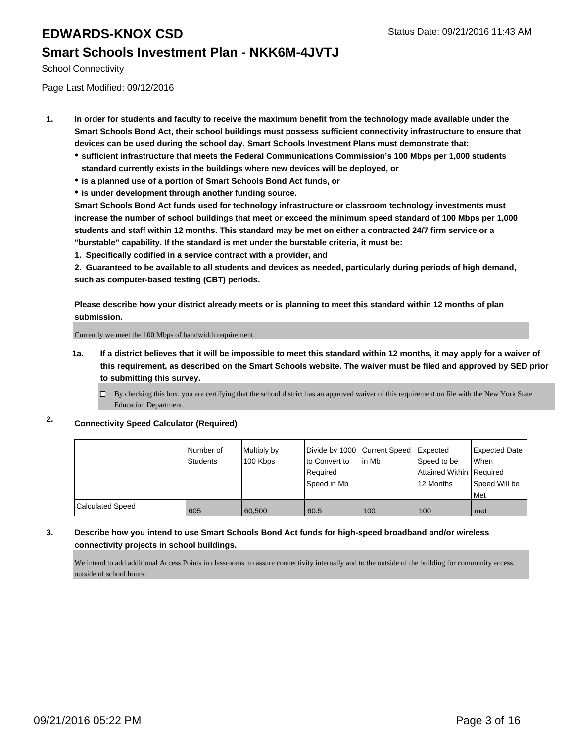#### **Smart Schools Investment Plan - NKK6M-4JVTJ**

School Connectivity

Page Last Modified: 09/12/2016

- **1. In order for students and faculty to receive the maximum benefit from the technology made available under the Smart Schools Bond Act, their school buildings must possess sufficient connectivity infrastructure to ensure that devices can be used during the school day. Smart Schools Investment Plans must demonstrate that:**
	- **sufficient infrastructure that meets the Federal Communications Commission's 100 Mbps per 1,000 students standard currently exists in the buildings where new devices will be deployed, or**
	- **is a planned use of a portion of Smart Schools Bond Act funds, or**
	- **is under development through another funding source.**

**Smart Schools Bond Act funds used for technology infrastructure or classroom technology investments must increase the number of school buildings that meet or exceed the minimum speed standard of 100 Mbps per 1,000 students and staff within 12 months. This standard may be met on either a contracted 24/7 firm service or a "burstable" capability. If the standard is met under the burstable criteria, it must be:**

**1. Specifically codified in a service contract with a provider, and**

**2. Guaranteed to be available to all students and devices as needed, particularly during periods of high demand, such as computer-based testing (CBT) periods.**

**Please describe how your district already meets or is planning to meet this standard within 12 months of plan submission.**

Currently we meet the 100 Mbps of bandwidth requirement.

- **1a. If a district believes that it will be impossible to meet this standard within 12 months, it may apply for a waiver of this requirement, as described on the Smart Schools website. The waiver must be filed and approved by SED prior to submitting this survey.**
	- $\Box$  By checking this box, you are certifying that the school district has an approved waiver of this requirement on file with the New York State Education Department.
- **2. Connectivity Speed Calculator (Required)**

|                  | Number of<br><b>Students</b> | Multiply by<br>100 Kbps | Divide by 1000 Current Speed<br>to Convert to<br>Required<br>Speed in Mb | lin Mb | Expected<br>Speed to be<br>Attained Within Required<br>12 Months | <b>Expected Date</b><br><b>When</b><br>Speed Will be<br><b>Met</b> |
|------------------|------------------------------|-------------------------|--------------------------------------------------------------------------|--------|------------------------------------------------------------------|--------------------------------------------------------------------|
| Calculated Speed | 605                          | 60.500                  | 60.5                                                                     | 100    | 100                                                              | met                                                                |

**3. Describe how you intend to use Smart Schools Bond Act funds for high-speed broadband and/or wireless connectivity projects in school buildings.**

We intend to add additional Access Points in classrooms to assure connectivity internally and to the outside of the building for community access, outside of school hours.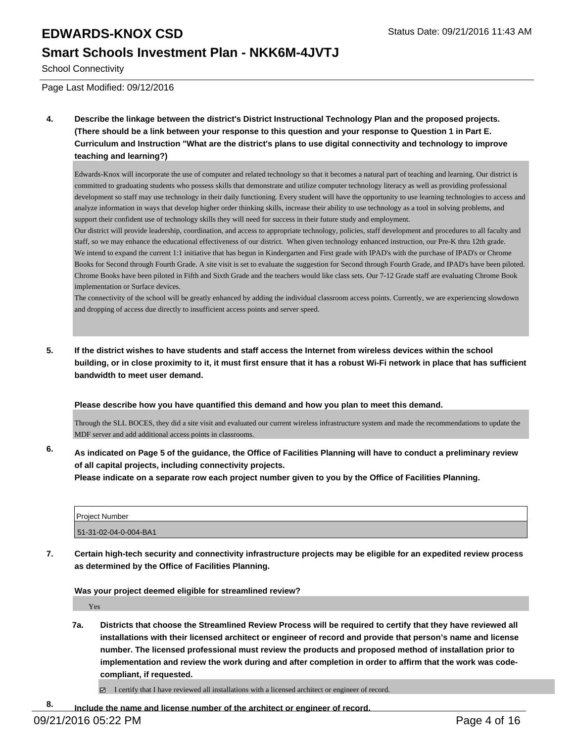#### **Smart Schools Investment Plan - NKK6M-4JVTJ**

School Connectivity

Page Last Modified: 09/12/2016

**4. Describe the linkage between the district's District Instructional Technology Plan and the proposed projects. (There should be a link between your response to this question and your response to Question 1 in Part E. Curriculum and Instruction "What are the district's plans to use digital connectivity and technology to improve teaching and learning?)**

Edwards-Knox will incorporate the use of computer and related technology so that it becomes a natural part of teaching and learning. Our district is committed to graduating students who possess skills that demonstrate and utilize computer technology literacy as well as providing professional development so staff may use technology in their daily functioning. Every student will have the opportunity to use learning technologies to access and analyze information in ways that develop higher order thinking skills, increase their ability to use technology as a tool in solving problems, and support their confident use of technology skills they will need for success in their future study and employment.

Our district will provide leadership, coordination, and access to appropriate technology, policies, staff development and procedures to all faculty and staff, so we may enhance the educational effectiveness of our district. When given technology enhanced instruction, our Pre-K thru 12th grade. We intend to expand the current 1:1 initiative that has begun in Kindergarten and First grade with IPAD's with the purchase of IPAD's or Chrome Books for Second through Fourth Grade. A site visit is set to evaluate the suggestion for Second through Fourth Grade, and IPAD's have been piloted. Chrome Books have been piloted in Fifth and Sixth Grade and the teachers would like class sets. Our 7-12 Grade staff are evaluating Chrome Book implementation or Surface devices.

The connectivity of the school will be greatly enhanced by adding the individual classroom access points. Currently, we are experiencing slowdown and dropping of access due directly to insufficient access points and server speed.

**5. If the district wishes to have students and staff access the Internet from wireless devices within the school building, or in close proximity to it, it must first ensure that it has a robust Wi-Fi network in place that has sufficient bandwidth to meet user demand.**

**Please describe how you have quantified this demand and how you plan to meet this demand.**

Through the SLL BOCES, they did a site visit and evaluated our current wireless infrastructure system and made the recommendations to update the MDF server and add additional access points in classrooms.

**6. As indicated on Page 5 of the guidance, the Office of Facilities Planning will have to conduct a preliminary review of all capital projects, including connectivity projects.**

**Please indicate on a separate row each project number given to you by the Office of Facilities Planning.**

| Project Number        |  |
|-----------------------|--|
| 51-31-02-04-0-004-BA1 |  |

**7. Certain high-tech security and connectivity infrastructure projects may be eligible for an expedited review process as determined by the Office of Facilities Planning.**

**Was your project deemed eligible for streamlined review?**

Yes

**7a. Districts that choose the Streamlined Review Process will be required to certify that they have reviewed all installations with their licensed architect or engineer of record and provide that person's name and license number. The licensed professional must review the products and proposed method of installation prior to implementation and review the work during and after completion in order to affirm that the work was codecompliant, if requested.**

I certify that I have reviewed all installations with a licensed architect or engineer of record.

**8. Include the name and license number of the architect or engineer of record.**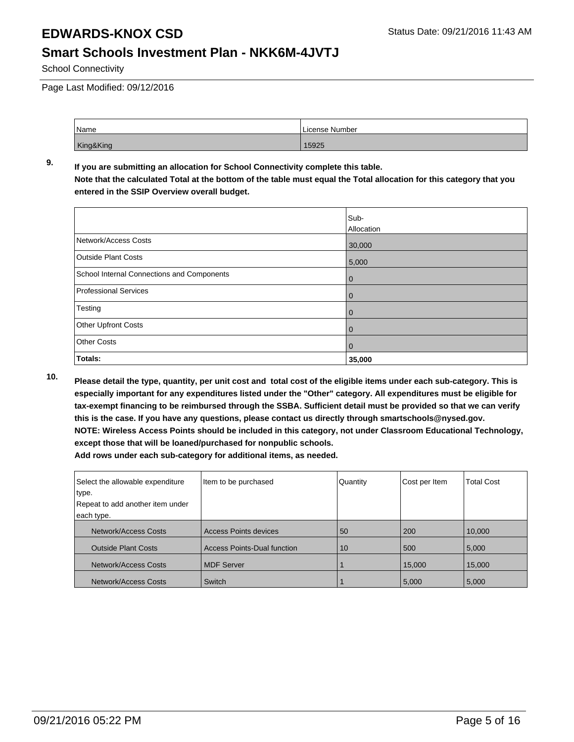#### **Smart Schools Investment Plan - NKK6M-4JVTJ**

School Connectivity

Page Last Modified: 09/12/2016

| <b>Name</b> | License Number |
|-------------|----------------|
| King&King   | 15925          |

#### **9. If you are submitting an allocation for School Connectivity complete this table. Note that the calculated Total at the bottom of the table must equal the Total allocation for this category that you entered in the SSIP Overview overall budget.**

|                                            | Sub-       |
|--------------------------------------------|------------|
|                                            | Allocation |
| Network/Access Costs                       | 30,000     |
| <b>Outside Plant Costs</b>                 | 5,000      |
| School Internal Connections and Components | 0          |
| <b>Professional Services</b>               | 0          |
| Testing                                    | 0          |
| Other Upfront Costs                        | 0          |
| <b>Other Costs</b>                         | 0          |
| Totals:                                    | 35,000     |

**10. Please detail the type, quantity, per unit cost and total cost of the eligible items under each sub-category. This is especially important for any expenditures listed under the "Other" category. All expenditures must be eligible for tax-exempt financing to be reimbursed through the SSBA. Sufficient detail must be provided so that we can verify this is the case. If you have any questions, please contact us directly through smartschools@nysed.gov. NOTE: Wireless Access Points should be included in this category, not under Classroom Educational Technology, except those that will be loaned/purchased for nonpublic schools.**

| Select the allowable expenditure | Item to be purchased               | Quantity | Cost per Item | <b>Total Cost</b> |
|----------------------------------|------------------------------------|----------|---------------|-------------------|
| type.                            |                                    |          |               |                   |
| Repeat to add another item under |                                    |          |               |                   |
| each type.                       |                                    |          |               |                   |
| <b>Network/Access Costs</b>      | <b>Access Points devices</b>       | 50       | 200           | 10,000            |
| <b>Outside Plant Costs</b>       | <b>Access Points-Dual function</b> | 10       | 500           | 5,000             |
| Network/Access Costs             | <b>MDF Server</b>                  |          | 15,000        | 15,000            |
| Network/Access Costs             | Switch                             |          | 5,000         | 5,000             |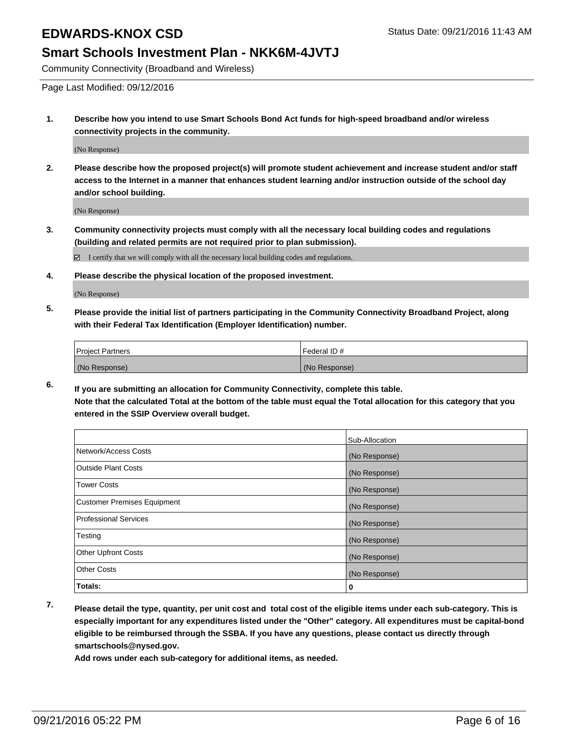#### **Smart Schools Investment Plan - NKK6M-4JVTJ**

Community Connectivity (Broadband and Wireless)

Page Last Modified: 09/12/2016

**1. Describe how you intend to use Smart Schools Bond Act funds for high-speed broadband and/or wireless connectivity projects in the community.**

(No Response)

**2. Please describe how the proposed project(s) will promote student achievement and increase student and/or staff access to the Internet in a manner that enhances student learning and/or instruction outside of the school day and/or school building.**

(No Response)

**3. Community connectivity projects must comply with all the necessary local building codes and regulations (building and related permits are not required prior to plan submission).**

 $\boxtimes$  I certify that we will comply with all the necessary local building codes and regulations.

**4. Please describe the physical location of the proposed investment.**

(No Response)

**5. Please provide the initial list of partners participating in the Community Connectivity Broadband Project, along with their Federal Tax Identification (Employer Identification) number.**

| <b>Project Partners</b> | Federal ID#   |
|-------------------------|---------------|
| (No Response)           | (No Response) |

**6. If you are submitting an allocation for Community Connectivity, complete this table. Note that the calculated Total at the bottom of the table must equal the Total allocation for this category that you entered in the SSIP Overview overall budget.**

|                                    | Sub-Allocation |
|------------------------------------|----------------|
| Network/Access Costs               | (No Response)  |
| <b>Outside Plant Costs</b>         | (No Response)  |
| Tower Costs                        | (No Response)  |
| <b>Customer Premises Equipment</b> | (No Response)  |
| <b>Professional Services</b>       | (No Response)  |
| Testing                            | (No Response)  |
| <b>Other Upfront Costs</b>         | (No Response)  |
| <b>Other Costs</b>                 | (No Response)  |
| Totals:                            | 0              |

**7. Please detail the type, quantity, per unit cost and total cost of the eligible items under each sub-category. This is especially important for any expenditures listed under the "Other" category. All expenditures must be capital-bond eligible to be reimbursed through the SSBA. If you have any questions, please contact us directly through smartschools@nysed.gov.**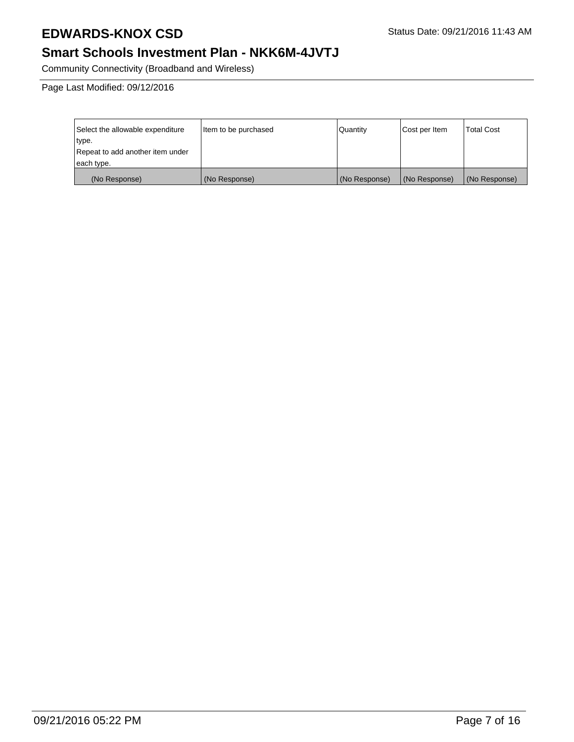### **Smart Schools Investment Plan - NKK6M-4JVTJ**

Community Connectivity (Broadband and Wireless)

Page Last Modified: 09/12/2016

| Select the allowable expenditure | litem to be purchased | Quantity      | Cost per Item | <b>Total Cost</b> |
|----------------------------------|-----------------------|---------------|---------------|-------------------|
| type.                            |                       |               |               |                   |
| Repeat to add another item under |                       |               |               |                   |
| each type.                       |                       |               |               |                   |
| (No Response)                    | (No Response)         | (No Response) | (No Response) | (No Response)     |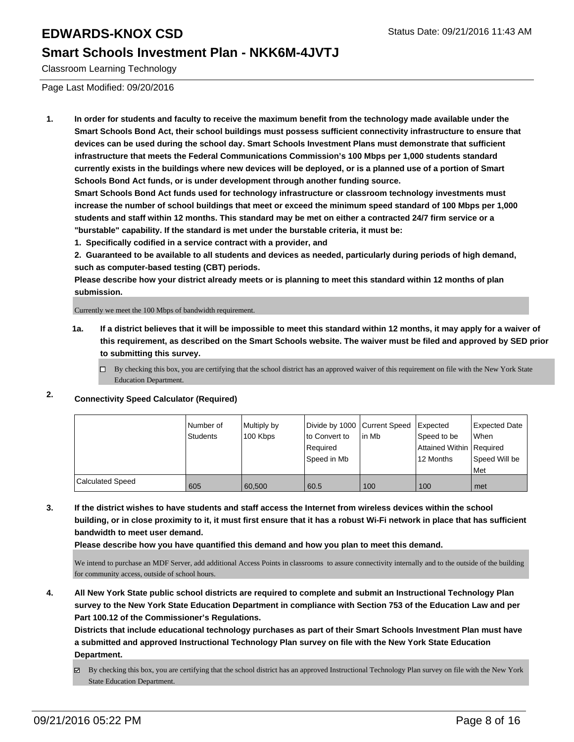#### **Smart Schools Investment Plan - NKK6M-4JVTJ**

Classroom Learning Technology

Page Last Modified: 09/20/2016

**1. In order for students and faculty to receive the maximum benefit from the technology made available under the Smart Schools Bond Act, their school buildings must possess sufficient connectivity infrastructure to ensure that devices can be used during the school day. Smart Schools Investment Plans must demonstrate that sufficient infrastructure that meets the Federal Communications Commission's 100 Mbps per 1,000 students standard currently exists in the buildings where new devices will be deployed, or is a planned use of a portion of Smart Schools Bond Act funds, or is under development through another funding source.**

**Smart Schools Bond Act funds used for technology infrastructure or classroom technology investments must increase the number of school buildings that meet or exceed the minimum speed standard of 100 Mbps per 1,000 students and staff within 12 months. This standard may be met on either a contracted 24/7 firm service or a "burstable" capability. If the standard is met under the burstable criteria, it must be:**

**1. Specifically codified in a service contract with a provider, and**

**2. Guaranteed to be available to all students and devices as needed, particularly during periods of high demand, such as computer-based testing (CBT) periods.**

**Please describe how your district already meets or is planning to meet this standard within 12 months of plan submission.**

Currently we meet the 100 Mbps of bandwidth requirement.

- **1a. If a district believes that it will be impossible to meet this standard within 12 months, it may apply for a waiver of this requirement, as described on the Smart Schools website. The waiver must be filed and approved by SED prior to submitting this survey.**
	- $\Box$  By checking this box, you are certifying that the school district has an approved waiver of this requirement on file with the New York State Education Department.

#### **2. Connectivity Speed Calculator (Required)**

|                         | l Number of<br>Students | Multiply by<br>100 Kbps | Divide by 1000 Current Speed<br>Ito Convert to<br>Required<br>Speed in Mb | lin Mb | Expected<br>Speed to be<br>Attained Within   Required<br>12 Months | <b>Expected Date</b><br><b>When</b><br>Speed Will be<br>l Met |
|-------------------------|-------------------------|-------------------------|---------------------------------------------------------------------------|--------|--------------------------------------------------------------------|---------------------------------------------------------------|
| <b>Calculated Speed</b> | 605                     | 60.500                  | 60.5                                                                      | 100    | 100                                                                | met                                                           |

**3. If the district wishes to have students and staff access the Internet from wireless devices within the school building, or in close proximity to it, it must first ensure that it has a robust Wi-Fi network in place that has sufficient bandwidth to meet user demand.**

**Please describe how you have quantified this demand and how you plan to meet this demand.**

We intend to purchase an MDF Server, add additional Access Points in classrooms to assure connectivity internally and to the outside of the building for community access, outside of school hours.

**4. All New York State public school districts are required to complete and submit an Instructional Technology Plan survey to the New York State Education Department in compliance with Section 753 of the Education Law and per Part 100.12 of the Commissioner's Regulations.**

**Districts that include educational technology purchases as part of their Smart Schools Investment Plan must have a submitted and approved Instructional Technology Plan survey on file with the New York State Education Department.**

By checking this box, you are certifying that the school district has an approved Instructional Technology Plan survey on file with the New York State Education Department.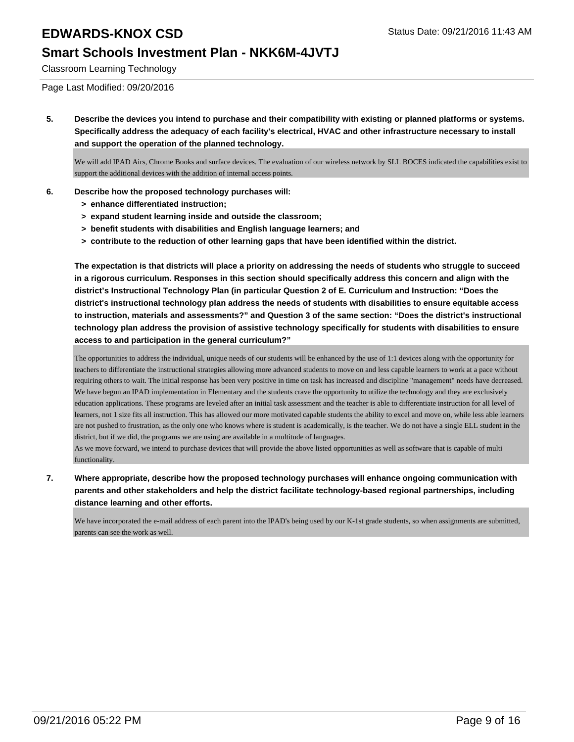#### **Smart Schools Investment Plan - NKK6M-4JVTJ**

Classroom Learning Technology

Page Last Modified: 09/20/2016

**5. Describe the devices you intend to purchase and their compatibility with existing or planned platforms or systems. Specifically address the adequacy of each facility's electrical, HVAC and other infrastructure necessary to install and support the operation of the planned technology.**

We will add IPAD Airs, Chrome Books and surface devices. The evaluation of our wireless network by SLL BOCES indicated the capabilities exist to support the additional devices with the addition of internal access points.

- **6. Describe how the proposed technology purchases will:**
	- **> enhance differentiated instruction;**
	- **> expand student learning inside and outside the classroom;**
	- **> benefit students with disabilities and English language learners; and**
	- **> contribute to the reduction of other learning gaps that have been identified within the district.**

**The expectation is that districts will place a priority on addressing the needs of students who struggle to succeed in a rigorous curriculum. Responses in this section should specifically address this concern and align with the district's Instructional Technology Plan (in particular Question 2 of E. Curriculum and Instruction: "Does the district's instructional technology plan address the needs of students with disabilities to ensure equitable access to instruction, materials and assessments?" and Question 3 of the same section: "Does the district's instructional technology plan address the provision of assistive technology specifically for students with disabilities to ensure access to and participation in the general curriculum?"**

The opportunities to address the individual, unique needs of our students will be enhanced by the use of 1:1 devices along with the opportunity for teachers to differentiate the instructional strategies allowing more advanced students to move on and less capable learners to work at a pace without requiring others to wait. The initial response has been very positive in time on task has increased and discipline "management" needs have decreased. We have begun an IPAD implementation in Elementary and the students crave the opportunity to utilize the technology and they are exclusively education applications. These programs are leveled after an initial task assessment and the teacher is able to differentiate instruction for all level of learners, not 1 size fits all instruction. This has allowed our more motivated capable students the ability to excel and move on, while less able learners are not pushed to frustration, as the only one who knows where is student is academically, is the teacher. We do not have a single ELL student in the district, but if we did, the programs we are using are available in a multitude of languages.

As we move forward, we intend to purchase devices that will provide the above listed opportunities as well as software that is capable of multi functionality.

**7. Where appropriate, describe how the proposed technology purchases will enhance ongoing communication with parents and other stakeholders and help the district facilitate technology-based regional partnerships, including distance learning and other efforts.**

We have incorporated the e-mail address of each parent into the IPAD's being used by our K-1st grade students, so when assignments are submitted, parents can see the work as well.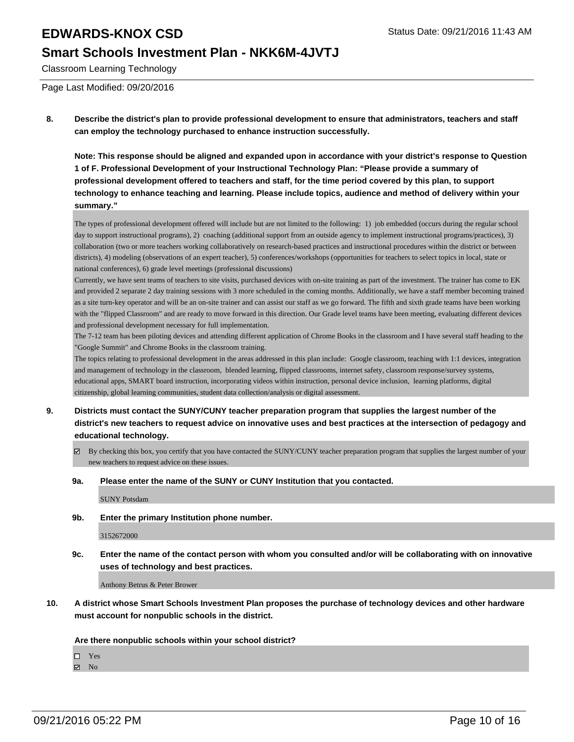#### **Smart Schools Investment Plan - NKK6M-4JVTJ**

Classroom Learning Technology

Page Last Modified: 09/20/2016

**8. Describe the district's plan to provide professional development to ensure that administrators, teachers and staff can employ the technology purchased to enhance instruction successfully.**

**Note: This response should be aligned and expanded upon in accordance with your district's response to Question 1 of F. Professional Development of your Instructional Technology Plan: "Please provide a summary of professional development offered to teachers and staff, for the time period covered by this plan, to support technology to enhance teaching and learning. Please include topics, audience and method of delivery within your summary."**

The types of professional development offered will include but are not limited to the following: 1) job embedded (occurs during the regular school day to support instructional programs), 2) coaching (additional support from an outside agency to implement instructional programs/practices), 3) collaboration (two or more teachers working collaboratively on research-based practices and instructional procedures within the district or between districts), 4) modeling (observations of an expert teacher), 5) conferences/workshops (opportunities for teachers to select topics in local, state or national conferences), 6) grade level meetings (professional discussions)

Currently, we have sent teams of teachers to site visits, purchased devices with on-site training as part of the investment. The trainer has come to EK and provided 2 separate 2 day training sessions with 3 more scheduled in the coming months. Additionally, we have a staff member becoming trained as a site turn-key operator and will be an on-site trainer and can assist our staff as we go forward. The fifth and sixth grade teams have been working with the "flipped Classroom" and are ready to move forward in this direction. Our Grade level teams have been meeting, evaluating different devices and professional development necessary for full implementation.

The 7-12 team has been piloting devices and attending different application of Chrome Books in the classroom and I have several staff heading to the "Google Summit" and Chrome Books in the classroom training.

The topics relating to professional development in the areas addressed in this plan include: Google classroom, teaching with 1:1 devices, integration and management of technology in the classroom, blended learning, flipped classrooms, internet safety, classroom response/survey systems, educational apps, SMART board instruction, incorporating videos within instruction, personal device inclusion, learning platforms, digital citizenship, global learning communities, student data collection/analysis or digital assessment.

- **9. Districts must contact the SUNY/CUNY teacher preparation program that supplies the largest number of the district's new teachers to request advice on innovative uses and best practices at the intersection of pedagogy and educational technology.**
	- By checking this box, you certify that you have contacted the SUNY/CUNY teacher preparation program that supplies the largest number of your new teachers to request advice on these issues.
	- **9a. Please enter the name of the SUNY or CUNY Institution that you contacted.**

SUNY Potsdam

**9b. Enter the primary Institution phone number.**

3152672000

**9c. Enter the name of the contact person with whom you consulted and/or will be collaborating with on innovative uses of technology and best practices.**

Anthony Betrus & Peter Brower

**10. A district whose Smart Schools Investment Plan proposes the purchase of technology devices and other hardware must account for nonpublic schools in the district.**

**Are there nonpublic schools within your school district?**

□ Yes

 $\boxtimes$  No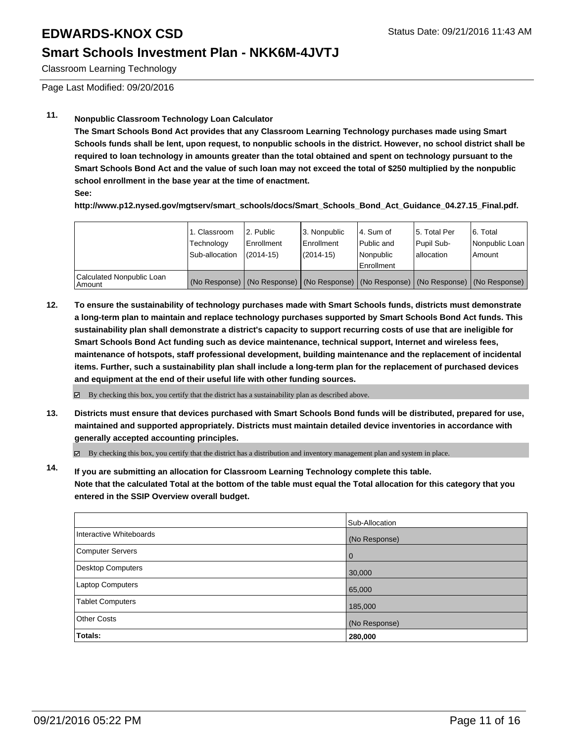#### **Smart Schools Investment Plan - NKK6M-4JVTJ**

Classroom Learning Technology

Page Last Modified: 09/20/2016

#### **11. Nonpublic Classroom Technology Loan Calculator**

**The Smart Schools Bond Act provides that any Classroom Learning Technology purchases made using Smart Schools funds shall be lent, upon request, to nonpublic schools in the district. However, no school district shall be required to loan technology in amounts greater than the total obtained and spent on technology pursuant to the Smart Schools Bond Act and the value of such loan may not exceed the total of \$250 multiplied by the nonpublic school enrollment in the base year at the time of enactment.**

**See:**

**http://www.p12.nysed.gov/mgtserv/smart\_schools/docs/Smart\_Schools\_Bond\_Act\_Guidance\_04.27.15\_Final.pdf.**

|                                     | 1. Classroom<br>Technology<br>Sub-allocation | 2. Public<br>Enrollment<br>$(2014 - 15)$ | 3. Nonpublic<br><b>Enrollment</b><br>(2014-15) | 4. Sum of<br>Public and<br>Nonpublic<br>Enrollment                                            | 15. Total Per<br>Pupil Sub-<br>Iallocation | 6. Total<br>Nonpublic Loan  <br>Amount |
|-------------------------------------|----------------------------------------------|------------------------------------------|------------------------------------------------|-----------------------------------------------------------------------------------------------|--------------------------------------------|----------------------------------------|
| Calculated Nonpublic Loan<br>Amount |                                              |                                          |                                                | (No Response)   (No Response)   (No Response)   (No Response)   (No Response)   (No Response) |                                            |                                        |

**12. To ensure the sustainability of technology purchases made with Smart Schools funds, districts must demonstrate a long-term plan to maintain and replace technology purchases supported by Smart Schools Bond Act funds. This sustainability plan shall demonstrate a district's capacity to support recurring costs of use that are ineligible for Smart Schools Bond Act funding such as device maintenance, technical support, Internet and wireless fees, maintenance of hotspots, staff professional development, building maintenance and the replacement of incidental items. Further, such a sustainability plan shall include a long-term plan for the replacement of purchased devices and equipment at the end of their useful life with other funding sources.**

**⊠** By checking this box, you certify that the district has a sustainability plan as described above.

**13. Districts must ensure that devices purchased with Smart Schools Bond funds will be distributed, prepared for use, maintained and supported appropriately. Districts must maintain detailed device inventories in accordance with generally accepted accounting principles.**

By checking this box, you certify that the district has a distribution and inventory management plan and system in place.

**14. If you are submitting an allocation for Classroom Learning Technology complete this table. Note that the calculated Total at the bottom of the table must equal the Total allocation for this category that you entered in the SSIP Overview overall budget.**

|                          | Sub-Allocation |
|--------------------------|----------------|
| Interactive Whiteboards  | (No Response)  |
| <b>Computer Servers</b>  | 0              |
| <b>Desktop Computers</b> | 30,000         |
| <b>Laptop Computers</b>  | 65,000         |
| <b>Tablet Computers</b>  | 185,000        |
| <b>Other Costs</b>       | (No Response)  |
| Totals:                  | 280,000        |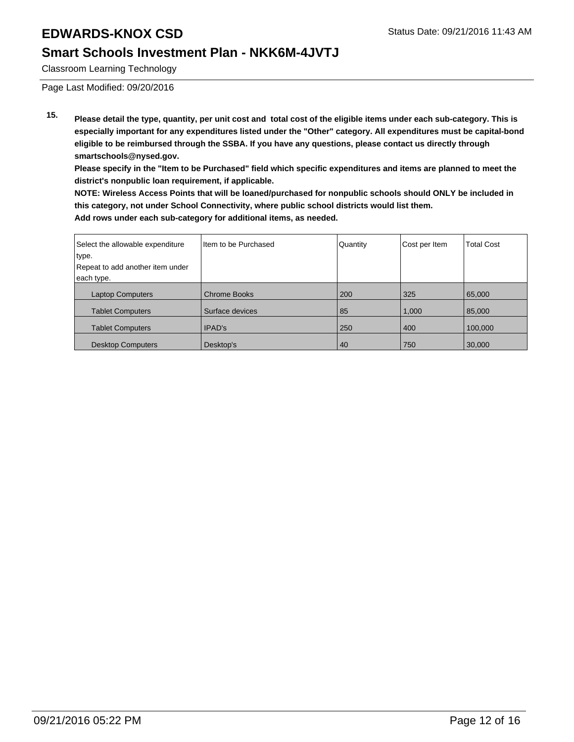#### **Smart Schools Investment Plan - NKK6M-4JVTJ**

Classroom Learning Technology

Page Last Modified: 09/20/2016

**15. Please detail the type, quantity, per unit cost and total cost of the eligible items under each sub-category. This is especially important for any expenditures listed under the "Other" category. All expenditures must be capital-bond eligible to be reimbursed through the SSBA. If you have any questions, please contact us directly through smartschools@nysed.gov.**

**Please specify in the "Item to be Purchased" field which specific expenditures and items are planned to meet the district's nonpublic loan requirement, if applicable.**

**NOTE: Wireless Access Points that will be loaned/purchased for nonpublic schools should ONLY be included in this category, not under School Connectivity, where public school districts would list them. Add rows under each sub-category for additional items, as needed.**

| Select the allowable expenditure | Item to be Purchased | Quantity | Cost per Item | <b>Total Cost</b> |
|----------------------------------|----------------------|----------|---------------|-------------------|
| type.                            |                      |          |               |                   |
| Repeat to add another item under |                      |          |               |                   |
| each type.                       |                      |          |               |                   |
| <b>Laptop Computers</b>          | <b>Chrome Books</b>  | 200      | 325           | 65,000            |
| <b>Tablet Computers</b>          | Surface devices      | 85       | 1,000         | 85,000            |
| <b>Tablet Computers</b>          | <b>IPAD's</b>        | 250      | 400           | 100,000           |
| <b>Desktop Computers</b>         | Desktop's            | 40       | 750           | 30,000            |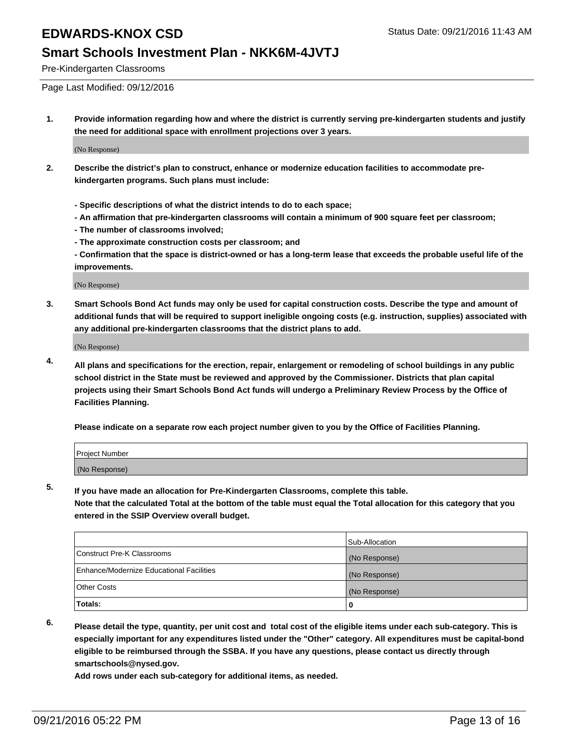#### **Smart Schools Investment Plan - NKK6M-4JVTJ**

Pre-Kindergarten Classrooms

Page Last Modified: 09/12/2016

**1. Provide information regarding how and where the district is currently serving pre-kindergarten students and justify the need for additional space with enrollment projections over 3 years.**

(No Response)

- **2. Describe the district's plan to construct, enhance or modernize education facilities to accommodate prekindergarten programs. Such plans must include:**
	- **Specific descriptions of what the district intends to do to each space;**
	- **An affirmation that pre-kindergarten classrooms will contain a minimum of 900 square feet per classroom;**
	- **The number of classrooms involved;**
	- **The approximate construction costs per classroom; and**
	- **Confirmation that the space is district-owned or has a long-term lease that exceeds the probable useful life of the improvements.**

(No Response)

**3. Smart Schools Bond Act funds may only be used for capital construction costs. Describe the type and amount of additional funds that will be required to support ineligible ongoing costs (e.g. instruction, supplies) associated with any additional pre-kindergarten classrooms that the district plans to add.**

(No Response)

**4. All plans and specifications for the erection, repair, enlargement or remodeling of school buildings in any public school district in the State must be reviewed and approved by the Commissioner. Districts that plan capital projects using their Smart Schools Bond Act funds will undergo a Preliminary Review Process by the Office of Facilities Planning.**

**Please indicate on a separate row each project number given to you by the Office of Facilities Planning.**

| Project Number |  |  |
|----------------|--|--|
| (No Response)  |  |  |

**5. If you have made an allocation for Pre-Kindergarten Classrooms, complete this table.**

**Note that the calculated Total at the bottom of the table must equal the Total allocation for this category that you entered in the SSIP Overview overall budget.**

|                                          | Sub-Allocation |
|------------------------------------------|----------------|
| Construct Pre-K Classrooms               | (No Response)  |
| Enhance/Modernize Educational Facilities | (No Response)  |
| Other Costs                              | (No Response)  |
| <b>Totals:</b>                           |                |

**6. Please detail the type, quantity, per unit cost and total cost of the eligible items under each sub-category. This is especially important for any expenditures listed under the "Other" category. All expenditures must be capital-bond eligible to be reimbursed through the SSBA. If you have any questions, please contact us directly through smartschools@nysed.gov.**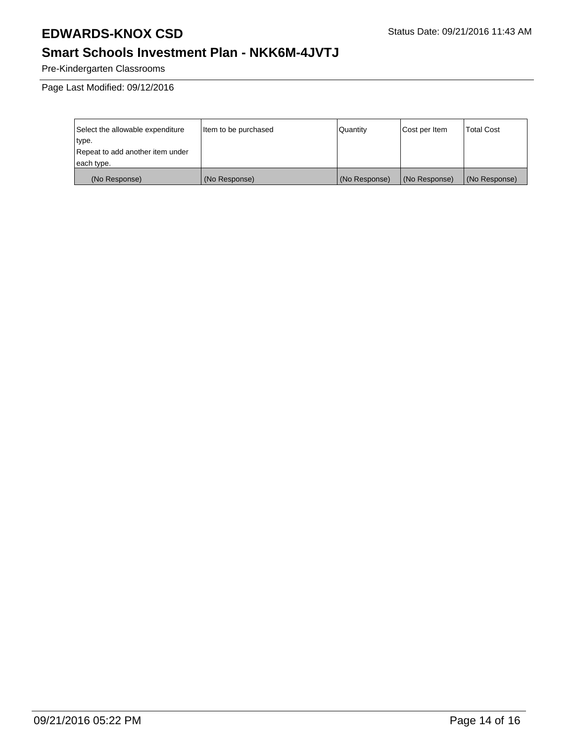### **Smart Schools Investment Plan - NKK6M-4JVTJ**

Pre-Kindergarten Classrooms

Page Last Modified: 09/12/2016

| Select the allowable expenditure | Item to be purchased | Quantity      | Cost per Item | Total Cost    |
|----------------------------------|----------------------|---------------|---------------|---------------|
| type.                            |                      |               |               |               |
| Repeat to add another item under |                      |               |               |               |
| each type.                       |                      |               |               |               |
| (No Response)                    | (No Response)        | (No Response) | (No Response) | (No Response) |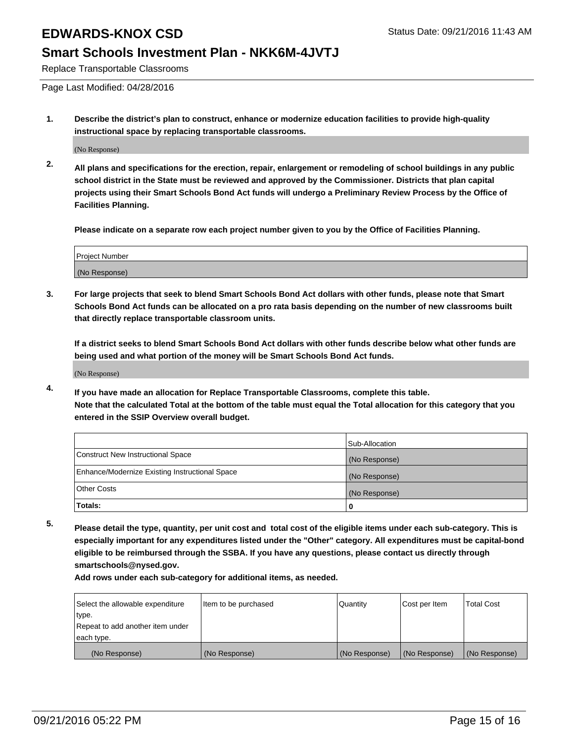#### **Smart Schools Investment Plan - NKK6M-4JVTJ**

Replace Transportable Classrooms

Page Last Modified: 04/28/2016

**1. Describe the district's plan to construct, enhance or modernize education facilities to provide high-quality instructional space by replacing transportable classrooms.**

(No Response)

**2. All plans and specifications for the erection, repair, enlargement or remodeling of school buildings in any public school district in the State must be reviewed and approved by the Commissioner. Districts that plan capital projects using their Smart Schools Bond Act funds will undergo a Preliminary Review Process by the Office of Facilities Planning.**

**Please indicate on a separate row each project number given to you by the Office of Facilities Planning.**

| Project Number |  |
|----------------|--|
| (No Response)  |  |

**3. For large projects that seek to blend Smart Schools Bond Act dollars with other funds, please note that Smart Schools Bond Act funds can be allocated on a pro rata basis depending on the number of new classrooms built that directly replace transportable classroom units.**

**If a district seeks to blend Smart Schools Bond Act dollars with other funds describe below what other funds are being used and what portion of the money will be Smart Schools Bond Act funds.**

(No Response)

**4. If you have made an allocation for Replace Transportable Classrooms, complete this table. Note that the calculated Total at the bottom of the table must equal the Total allocation for this category that you entered in the SSIP Overview overall budget.**

|                                                | Sub-Allocation |
|------------------------------------------------|----------------|
| Construct New Instructional Space              | (No Response)  |
| Enhance/Modernize Existing Instructional Space | (No Response)  |
| Other Costs                                    | (No Response)  |
| Totals:                                        | 0              |

**5. Please detail the type, quantity, per unit cost and total cost of the eligible items under each sub-category. This is especially important for any expenditures listed under the "Other" category. All expenditures must be capital-bond eligible to be reimbursed through the SSBA. If you have any questions, please contact us directly through smartschools@nysed.gov.**

| Select the allowable expenditure | Item to be purchased | Quantity      | Cost per Item | Total Cost    |
|----------------------------------|----------------------|---------------|---------------|---------------|
| type.                            |                      |               |               |               |
| Repeat to add another item under |                      |               |               |               |
| each type.                       |                      |               |               |               |
| (No Response)                    | (No Response)        | (No Response) | (No Response) | (No Response) |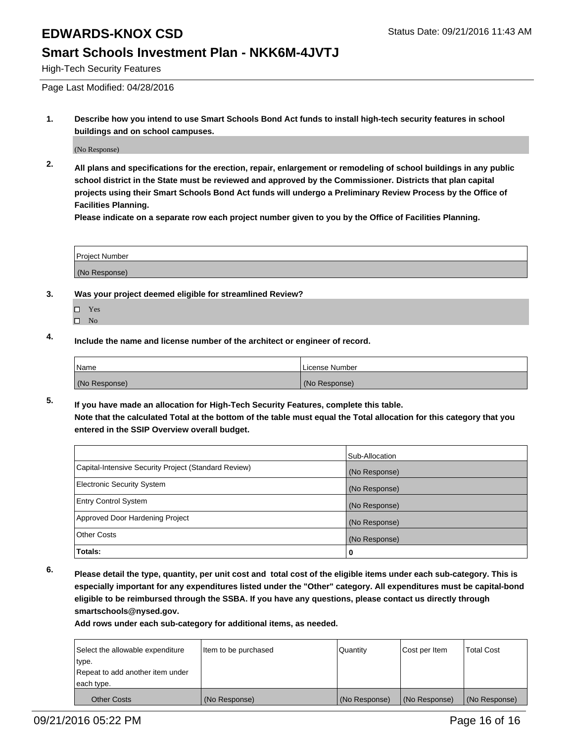#### **Smart Schools Investment Plan - NKK6M-4JVTJ**

High-Tech Security Features

Page Last Modified: 04/28/2016

**1. Describe how you intend to use Smart Schools Bond Act funds to install high-tech security features in school buildings and on school campuses.**

(No Response)

**2. All plans and specifications for the erection, repair, enlargement or remodeling of school buildings in any public school district in the State must be reviewed and approved by the Commissioner. Districts that plan capital projects using their Smart Schools Bond Act funds will undergo a Preliminary Review Process by the Office of Facilities Planning.** 

**Please indicate on a separate row each project number given to you by the Office of Facilities Planning.**

| <b>Project Number</b> |  |
|-----------------------|--|
| (No Response)         |  |

- **3. Was your project deemed eligible for streamlined Review?**
	- □ Yes
	- $\square$  No
- **4. Include the name and license number of the architect or engineer of record.**

| Name          | License Number |
|---------------|----------------|
| (No Response) | (No Response)  |

**5. If you have made an allocation for High-Tech Security Features, complete this table. Note that the calculated Total at the bottom of the table must equal the Total allocation for this category that you entered in the SSIP Overview overall budget.**

|                                                      | Sub-Allocation |
|------------------------------------------------------|----------------|
| Capital-Intensive Security Project (Standard Review) | (No Response)  |
| <b>Electronic Security System</b>                    | (No Response)  |
| <b>Entry Control System</b>                          | (No Response)  |
| Approved Door Hardening Project                      | (No Response)  |
| <b>Other Costs</b>                                   | (No Response)  |
| Totals:                                              | 0              |

**6. Please detail the type, quantity, per unit cost and total cost of the eligible items under each sub-category. This is especially important for any expenditures listed under the "Other" category. All expenditures must be capital-bond eligible to be reimbursed through the SSBA. If you have any questions, please contact us directly through smartschools@nysed.gov.**

| Select the allowable expenditure | Item to be purchased | Quantity      | Cost per Item | <b>Total Cost</b> |
|----------------------------------|----------------------|---------------|---------------|-------------------|
| type.                            |                      |               |               |                   |
| Repeat to add another item under |                      |               |               |                   |
| each type.                       |                      |               |               |                   |
| Other Costs                      | (No Response)        | (No Response) | (No Response) | (No Response)     |